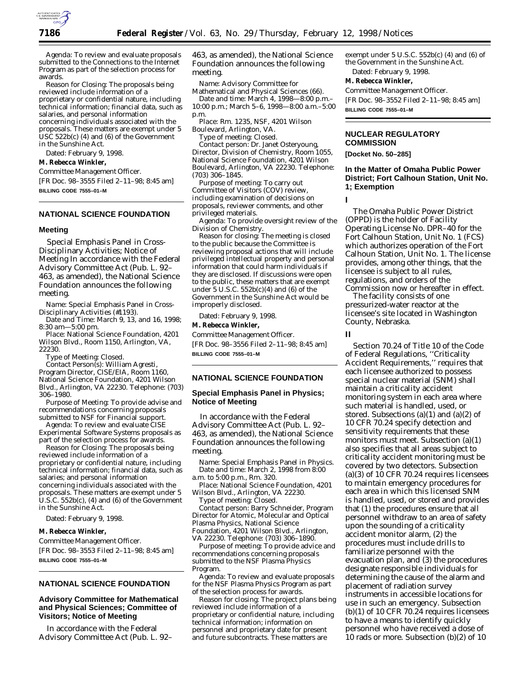

*Agenda:* To review and evaluate proposals submitted to the Connections to the Internet Program as part of the selection process for awards.

*Reason for Closing:* The proposals being reviewed include information of a proprietary or confidential nature, including technical information; financial data, such as salaries, and personal information concerning individuals associated with the proposals. These matters are exempt under 5 USC 522b(c) (4) and (6) of the Government in the Sunshine Act.

Dated: February 9, 1998.

### **M. Rebecca Winkler,**

*Committee Management Officer.*

[FR Doc. 98–3555 Filed 2–11–98; 8:45 am] **BILLING CODE 7555–01–M**

### **NATIONAL SCIENCE FOUNDATION**

#### **Meeting**

Special Emphasis Panel in Cross-Disciplinary Activities; Notice of Meeting In accordance with the Federal Advisory Committee Act (Pub. L. 92– 463, as amended), the National Science Foundation announces the following meeting.

*Name:* Special Emphasis Panel in Cross-Disciplinary Activities (#1193).

*Date and Time: March 9, 13, and 16, 1998; 8:30 am—5:00 pm.*

*Place:* National Science Foundation, 4201 Wilson Blvd., Room 1150, Arlington, VA, 22230.

*Type of Meeting:* Closed.

*Contact Person(s):* William Agresti, Program Director, CISE/EIA, Room 1160, National Science Foundation, 4201 Wilson Blvd., Arlington, VA 22230. Telephone: (703) 306–1980.

*Purpose of Meeting:* To provide advise and recommendations concerning proposals submitted to NSF for Financial support.

*Agenda:* To review and evaluate CISE Experimental Software Systems proposals as part of the selection process for awards.

*Reason for Closing:* The proposals being reviewed include information of a proprietary or confidential nature, including technical information; financial data, such as salaries; and personal information concerning individuals associated with the proposals. These matters are exempt under 5  $\hat{U}$ .S.C. 552b(c), (4) and (6) of the Government in the Sunshine Act.

Dated: February 9, 1998.

#### **M. Rebecca Winkler,**

*Committee Management Officer.* [FR Doc. 98–3553 Filed 2–11–98; 8:45 am] **BILLING CODE 7555–01–M**

## **NATIONAL SCIENCE FOUNDATION**

### **Advisory Committee for Mathematical and Physical Sciences; Committee of Visitors; Notice of Meeting**

In accordance with the Federal Advisory Committee Act (Pub. L. 92– 463, as amended), the National Science Foundation announces the following meeting.

*Name:* Advisory Committee for Mathematical and Physical Sciences (66).

*Date and time:* March 4, 1998—8:00 p.m.– 10:00 p.m.; March 5–6, 1998—8:00 a.m.–5:00 p.m.

*Place:* Rm. 1235, NSF, 4201 Wilson Boulevard, Arlington, VA.

*Type of meeting:* Closed.

*Contact person:* Dr. Janet Osteryoung, Director, Division of Chemistry, Room 1055, National Science Foundation, 4201 Wilson Boulevard, Arlington, VA 22230. Telephone: (703) 306–1845.

*Purpose of meeting:* To carry out Committee of Visitors (COV) review, including examination of decisions on proposals, reviewer comments, and other privileged materials.

*Agenda:* To provide oversight review of the Division of Chemistry.

*Reason for closing:* The meeting is closed to the public because the Committee is reviewing proposal actions that will include privileged intellectual property and personal information that could harm individuals if they are disclosed. If discussions were open to the public, these matters that are exempt under 5 U.S.C. 552b(c)(4) and (6) of the Government in the Sunshine Act would be improperly disclosed.

Dated: February 9, 1998.

#### **M. Rebecca Winkler,**

*Committee Management Officer.* [FR Doc. 98–3556 Filed 2–11–98; 8:45 am] **BILLING CODE 7555–01–M**

### **NATIONAL SCIENCE FOUNDATION**

### **Special Emphasis Panel in Physics; Notice of Meeting**

In accordance with the Federal Advisory Committee Act (Pub. L. 92– 463, as amended), the National Science Foundation announces the following meeting.

*Name:* Special Emphasis Panel in Physics. *Date and time:* March 2, 1998 from 8:00 a.m. to 5:00 p.m., Rm. 320.

*Place:* National Science Foundation, 4201 Wilson Blvd., Arlington, VA 22230.

*Type of meeting:* Closed.

*Contact person:* Barry Schneider, Program Director for Atomic, Molecular and Optical Plasma Physics, National Science Foundation, 4201 Wilson Blvd., Arlington, VA 22230. Telephone: (703) 306–1890.

*Purpose of meeting:* To provide advice and recommendations concerning proposals submitted to the NSF Plasma Physics Program.

*Agenda:* To review and evaluate proposals for the NSF Plasma Physics Program as part of the selection process for awards.

*Reason for closing:* The project plans being reviewed include information of a proprietary or confidential nature, including technical information; information on personnel and proprietary date for present and future subcontracts. These matters are

exempt under  $5$  U.S.C.  $552b(c)$  (4) and (6) of the Government in the Sunshine Act. Dated: February 9, 1998.

# **M. Rebecca Winkler,**

*Committee Management Officer.* [FR Doc. 98–3552 Filed 2–11–98; 8:45 am] **BILLING CODE 7555–01–M**

### **NUCLEAR REGULATORY COMMISSION**

**[Docket No. 50–285]**

### **In the Matter of Omaha Public Power District; Fort Calhoun Station, Unit No. 1; Exemption**

**I**

The Omaha Public Power District (OPPD) is the holder of Facility Operating License No. DPR–40 for the Fort Calhoun Station, Unit No. 1 (FCS) which authorizes operation of the Fort Calhoun Station, Unit No. 1. The license provides, among other things, that the licensee is subject to all rules, regulations, and orders of the Commission now or hereafter in effect.

The facility consists of one pressurized-water reactor at the licensee's site located in Washington County, Nebraska.

#### **II**

Section 70.24 of Title 10 of the Code of Federal Regulations, ''Criticality Accident Requirements,'' requires that each licensee authorized to possess special nuclear material (SNM) shall maintain a criticality accident monitoring system in each area where such material is handled, used, or stored. Subsections  $(a)(1)$  and  $(a)(2)$  of 10 CFR 70.24 specify detection and sensitivity requirements that these monitors must meet. Subsection (a)(1) also specifies that all areas subject to criticality accident monitoring must be covered by two detectors. Subsection (a)(3) of 10 CFR 70.24 requires licensees to maintain emergency procedures for each area in which this licensed SNM is handled, used, or stored and provides that (1) the procedures ensure that all personnel withdraw to an area of safety upon the sounding of a criticality accident monitor alarm, (2) the procedures must include drills to familiarize personnel with the evacuation plan, and (3) the procedures designate responsible individuals for determining the cause of the alarm and placement of radiation survey instruments in accessible locations for use in such an emergency. Subsection (b)(1) of 10 CFR 70.24 requires licensees to have a means to identify quickly personnel who have received a dose of 10 rads or more. Subsection (b)(2) of 10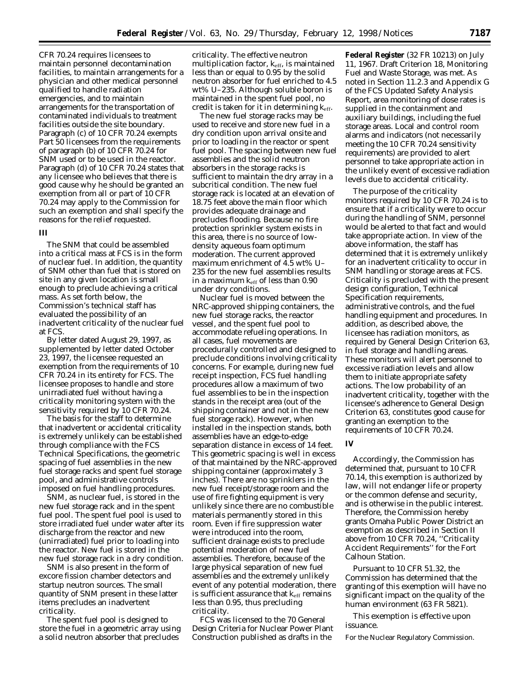CFR 70.24 requires licensees to maintain personnel decontamination facilities, to maintain arrangements for a physician and other medical personnel qualified to handle radiation emergencies, and to maintain arrangements for the transportation of contaminated individuals to treatment facilities outside the site boundary. Paragraph (c) of 10 CFR 70.24 exempts Part 50 licensees from the requirements of paragraph (b) of 10 CFR 70.24 for SNM used or to be used in the reactor. Paragraph (d) of 10 CFR 70.24 states that any licensee who believes that there is good cause why he should be granted an exemption from all or part of 10 CFR 70.24 may apply to the Commission for such an exemption and shall specify the reasons for the relief requested.

## **III**

The SNM that could be assembled into a critical mass at FCS is in the form of nuclear fuel. In addition, the quantity of SNM other than fuel that is stored on site in any given location is small enough to preclude achieving a critical mass. As set forth below, the Commission's technical staff has evaluated the possibility of an inadvertent criticality of the nuclear fuel at FCS.

By letter dated August 29, 1997, as supplemented by letter dated October 23, 1997, the licensee requested an exemption from the requirements of 10 CFR 70.24 in its entirety for FCS. The licensee proposes to handle and store unirradiated fuel without having a criticality monitoring system with the sensitivity required by 10 CFR 70.24.

The basis for the staff to determine that inadvertent or accidental criticality is extremely unlikely can be established through compliance with the FCS Technical Specifications, the geometric spacing of fuel assemblies in the new fuel storage racks and spent fuel storage pool, and administrative controls imposed on fuel handling procedures.

SNM, as nuclear fuel, is stored in the new fuel storage rack and in the spent fuel pool. The spent fuel pool is used to store irradiated fuel under water after its discharge from the reactor and new (unirradiated) fuel prior to loading into the reactor. New fuel is stored in the new fuel storage rack in a dry condition.

SNM is also present in the form of excore fission chamber detectors and startup neutron sources. The small quantity of SNM present in these latter items precludes an inadvertent criticality.

The spent fuel pool is designed to store the fuel in a geometric array using a solid neutron absorber that precludes

criticality. The effective neutron multiplication factor,  $k_{\text{eff}}$ , is maintained less than or equal to 0.95 by the solid neutron absorber for fuel enriched to 4.5 wt% U–235. Although soluble boron is maintained in the spent fuel pool, no credit is taken for it in determining keff.

The new fuel storage racks may be used to receive and store new fuel in a dry condition upon arrival onsite and prior to loading in the reactor or spent fuel pool. The spacing between new fuel assemblies and the solid neutron absorbers in the storage racks is sufficient to maintain the dry array in a subcritical condition. The new fuel storage rack is located at an elevation of 18.75 feet above the main floor which provides adequate drainage and precludes flooding. Because no fire protection sprinkler system exists in this area, there is no source of lowdensity aqueous foam optimum moderation. The current approved maximum enrichment of 4.5 wt% U– 235 for the new fuel assemblies results in a maximum  $k_{eff}$  of less than 0.90 under dry conditions.

Nuclear fuel is moved between the NRC-approved shipping containers, the new fuel storage racks, the reactor vessel, and the spent fuel pool to accommodate refueling operations. In all cases, fuel movements are procedurally controlled and designed to preclude conditions involving criticality concerns. For example, during new fuel receipt inspection, FCS fuel handling procedures allow a maximum of two fuel assemblies to be in the inspection stands in the receipt area (out of the shipping container and not in the new fuel storage rack). However, when installed in the inspection stands, both assemblies have an edge-to-edge separation distance in excess of 14 feet. This geometric spacing is well in excess of that maintained by the NRC-approved shipping container (approximately 3 inches). There are no sprinklers in the new fuel receipt/storage room and the use of fire fighting equipment is very unlikely since there are no combustible materials permanently stored in this room. Even if fire suppression water were introduced into the room, sufficient drainage exists to preclude potential moderation of new fuel assemblies. Therefore, because of the large physical separation of new fuel assemblies and the extremely unlikely event of any potential moderation, there is sufficient assurance that  $k_{\text{eff}}$  remains less than 0.95, thus precluding criticality.

FCS was licensed to the 70 General Design Criteria for Nuclear Power Plant Construction published as drafts in the

**Federal Register** (32 FR 10213) on July 11, 1967. Draft Criterion 18, Monitoring Fuel and Waste Storage, was met. As noted in Section 11.2.3 and Appendix G of the FCS Updated Safety Analysis Report, area monitoring of dose rates is supplied in the containment and auxiliary buildings, including the fuel storage areas. Local and control room alarms and indicators (not necessarily meeting the 10 CFR 70.24 sensitivity requirements) are provided to alert personnel to take appropriate action in the unlikely event of excessive radiation levels due to accidental criticality.

The purpose of the criticality monitors required by 10 CFR 70.24 is to ensure that if a criticality were to occur during the handling of SNM, personnel would be alerted to that fact and would take appropriate action. In view of the above information, the staff has determined that it is extremely unlikely for an inadvertent criticality to occur in SNM handling or storage areas at FCS. Criticality is precluded with the present design configuration, Technical Specification requirements, administrative controls, and the fuel handling equipment and procedures. In addition, as described above, the licensee has radiation monitors, as required by General Design Criterion 63, in fuel storage and handling areas. These monitors will alert personnel to excessive radiation levels and allow them to initiate appropriate safety actions. The low probability of an inadvertent criticality, together with the licensee's adherence to General Design Criterion 63, constitutes good cause for granting an exemption to the requirements of 10 CFR 70.24.

# **IV**

Accordingly, the Commission has determined that, pursuant to 10 CFR 70.14, this exemption is authorized by law, will not endanger life or property or the common defense and security, and is otherwise in the public interest. Therefore, the Commission hereby grants Omaha Public Power District an exemption as described in Section II above from 10 CFR 70.24, ''Criticality Accident Requirements'' for the Fort Calhoun Station.

Pursuant to 10 CFR 51.32, the Commission has determined that the granting of this exemption will have no significant impact on the quality of the human environment (63 FR 5821).

This exemption is effective upon issuance.

For the Nuclear Regulatory Commission.